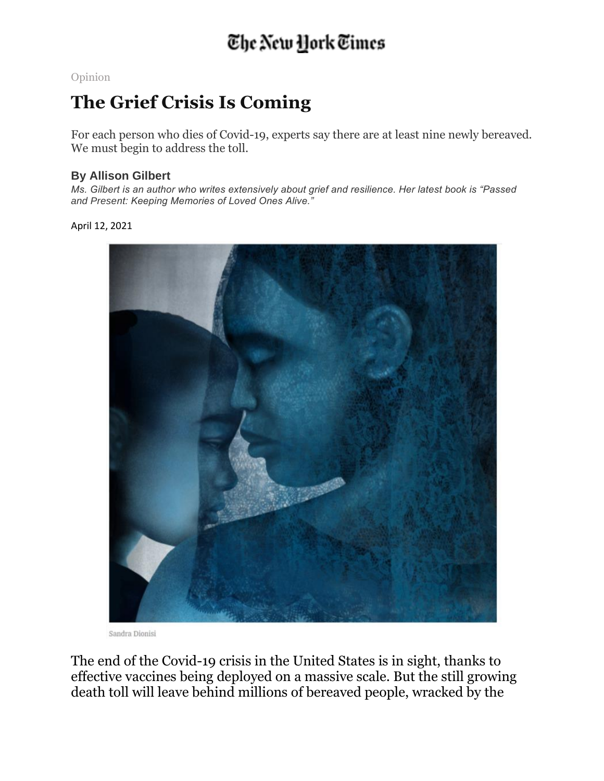## The New York Times

[Opinion](https://www.nytimes.com/section/opinion)

## **The Grief Crisis Is Coming**

For each person who dies of Covid-19, experts say there are at least nine newly bereaved. We must begin to address the toll.

## **By Allison Gilbert**

*Ms. Gilbert is an author who writes extensively about grief and resilience. Her latest book is "Passed and Present: Keeping Memories of Loved Ones Alive."*

April 12, 2021



Sandra Dionisi

The end of the Covid-19 crisis in the United States is in sight, thanks to effective vaccines being deployed on a massive scale. But the still growing death toll will leave behind millions of bereaved people, wracked by the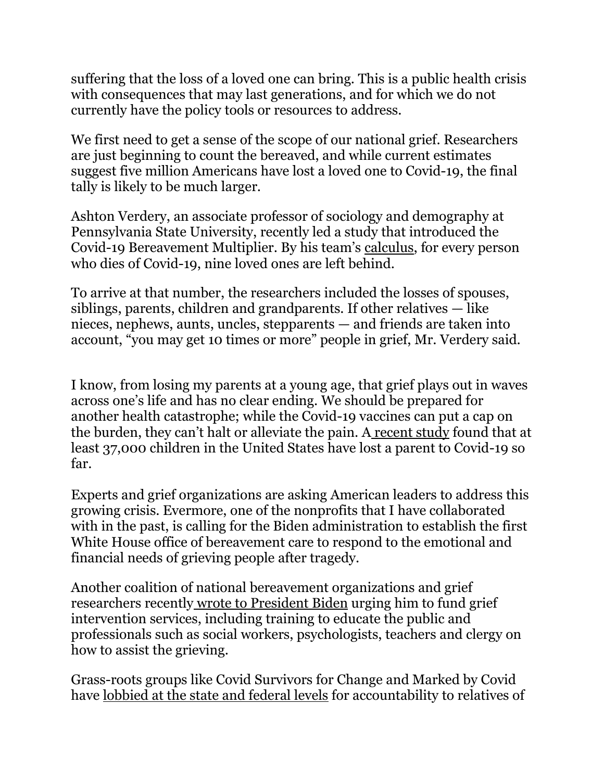suffering that the loss of a loved one can bring. This is a public health crisis with consequences that may last generations, and for which we do not currently have the policy tools or resources to address.

We first need to get a sense of the scope of our national grief. Researchers are just beginning to count the bereaved, and while current estimates suggest five million Americans have lost a loved one to Covid-19, the final tally is likely to be much larger.

Ashton Verdery, an associate professor of sociology and demography at Pennsylvania State University, recently led a study that introduced the Covid-19 Bereavement Multiplier. By his team's [calculus,](https://www.pnas.org/content/117/30/17695) for every person who dies of Covid-19, nine loved ones are left behind.

To arrive at that number, the researchers included the losses of spouses, siblings, parents, children and grandparents. If other relatives — like nieces, nephews, aunts, uncles, stepparents — and friends are taken into account, "you may get 10 times or more" people in grief, Mr. Verdery said.

I know, from losing my parents at a young age, that grief plays out in waves across one's life and has no clear ending. We should be prepared for another health catastrophe; while the Covid-19 vaccines can put a cap on the burden, they can't halt or alleviate the pain. A [recent](https://jamanetwork.com/journals/jamapediatrics/fullarticle/2778229) study found that at least 37,000 children in the United States have lost a parent to Covid-19 so far.

Experts and grief organizations are asking American leaders to address this growing crisis. Evermore, one of the nonprofits that I have collaborated with in the past, is calling for the Biden administration to establish the first White House office of bereavement care to respond to the emotional and financial needs of grieving people after tragedy.

Another coalition of national bereavement organizations and grief researchers recently wrote to [President](https://hospicefoundation.org/hfa/media/Files/COVID-Complicated-Grief-Letter.pdf) Biden urging him to fund grief intervention services, including training to educate the public and professionals such as social workers, psychologists, teachers and clergy on how to assist the grieving.

Grass-roots groups like Covid Survivors for Change and Marked by Covid have [lobbied](https://www.politico.com/news/2021/04/05/covid-lobbying-grief-political-clout-478981) at the state and federal levels for accountability to relatives of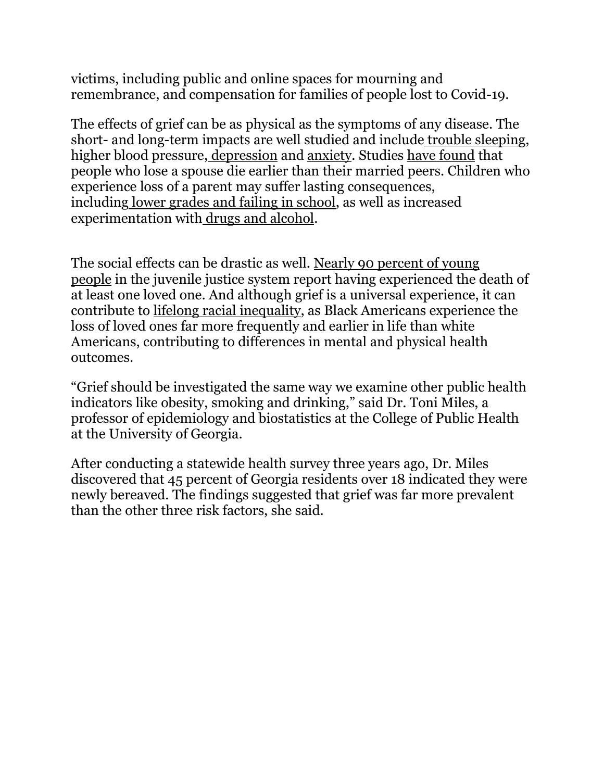victims, including public and online spaces for mourning and remembrance, and compensation for families of people lost to Covid-19.

The effects of grief can be as physical as the symptoms of any disease. The short- and long-term impacts are well studied and include trouble [sleeping,](https://www.ncbi.nlm.nih.gov/pmc/articles/PMC3384441/) higher blood pressure, [depression](https://journals.lww.com/jonmd/Abstract/2009/01000/Re_Examining_the_Long_Term_Effects_of_Experiencing.5.aspx) and [anxiety.](https://www.ncbi.nlm.nih.gov/pmc/articles/PMC4302726/) Studies have [found](https://pubmed.ncbi.nlm.nih.gov/32744212/) that people who lose a spouse die earlier than their married peers. Children who experience loss of a parent may suffer lasting consequences, including lower grades and failing in [school,](https://pubmed.ncbi.nlm.nih.gov/24616354/) as well as increased experimentation with drugs and [alcohol.](https://www.ncbi.nlm.nih.gov/pmc/articles/PMC4037812/)

The social effects can be drastic as well. Nearly 90 [percent](https://www.ncbi.nlm.nih.gov/pmc/articles/PMC4577059/) of young [people](https://www.ncbi.nlm.nih.gov/pmc/articles/PMC4577059/) in the juvenile justice system report having experienced the death of at least one loved one. And although grief is a universal experience, it can contribute to lifelong racial [inequality,](https://www.pnas.org/content/114/5/915) as Black Americans experience the loss of loved ones far more frequently and earlier in life than white Americans, contributing to differences in mental and physical health outcomes.

"Grief should be investigated the same way we examine other public health indicators like obesity, smoking and drinking," said Dr. Toni Miles, a professor of epidemiology and biostatistics at the College of Public Health at the University of Georgia.

After conducting a statewide health survey three years ago, Dr. Miles discovered that 45 percent of Georgia residents over 18 indicated they were newly bereaved. The findings suggested that grief was far more prevalent than the other three risk factors, she said.